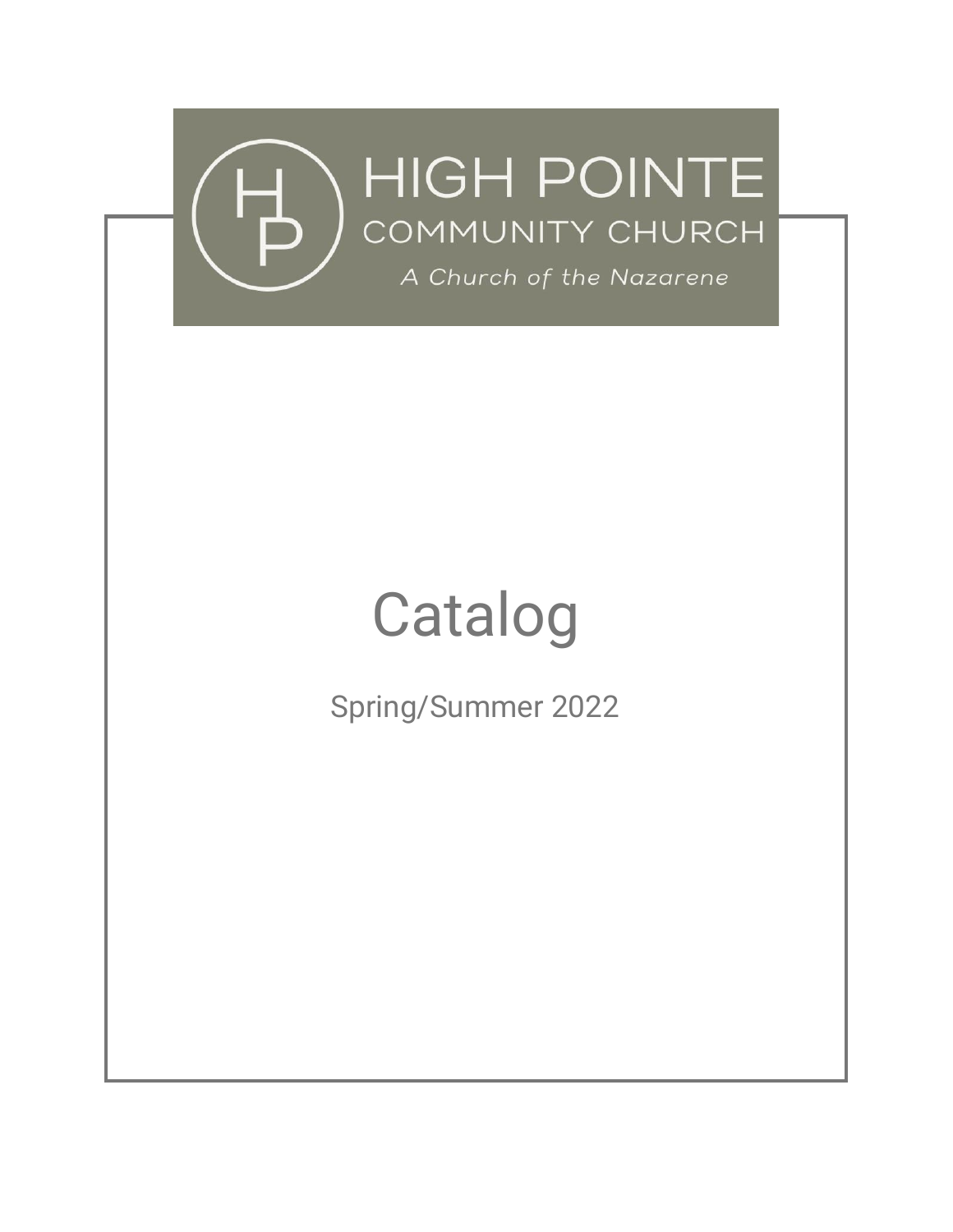

# Catalog

Spring/Summer 2022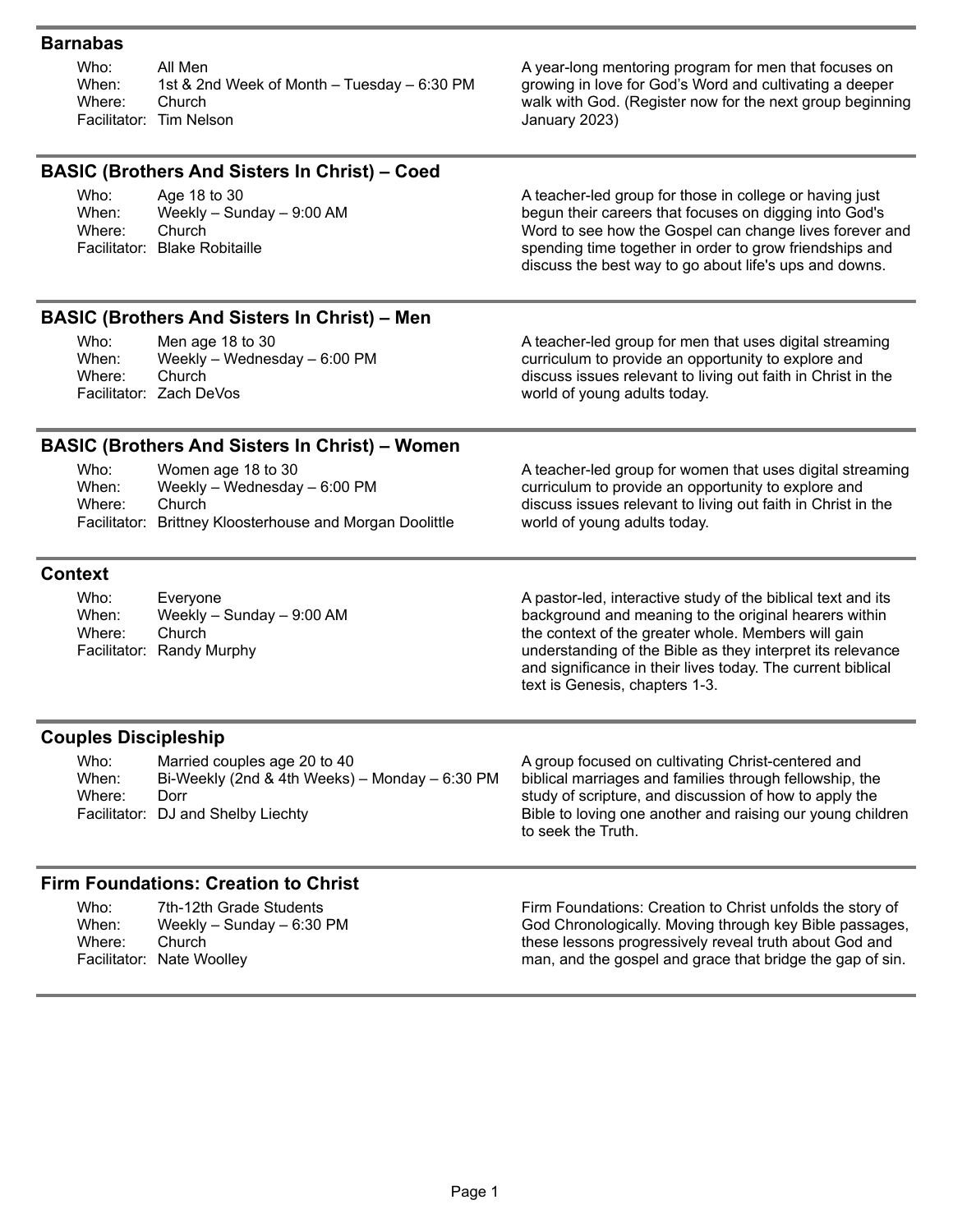## **Barnabas**

Who: When: Where: Facilitator: Tim Nelson All Men 1st & 2nd Week of Month – Tuesday – 6:30 PM Church

A year-long mentoring program for men that focuses on growing in love for God's Word and cultivating a deeper walk with God. (Register now for the next group beginning January 2023)

| <b>BASIC (Brothers And Sisters In Christ) - Coed</b> |                                                                                                                              |                                                                                                                                                                                                                                                                                                                                             |  |
|------------------------------------------------------|------------------------------------------------------------------------------------------------------------------------------|---------------------------------------------------------------------------------------------------------------------------------------------------------------------------------------------------------------------------------------------------------------------------------------------------------------------------------------------|--|
| Who:<br>When:<br>Where:                              | Age 18 to 30<br>Weekly - Sunday - 9:00 AM<br>Church<br>Facilitator: Blake Robitaille                                         | A teacher-led group for those in college or having just<br>begun their careers that focuses on digging into God's<br>Word to see how the Gospel can change lives forever and<br>spending time together in order to grow friendships and<br>discuss the best way to go about life's ups and downs.                                           |  |
|                                                      | <b>BASIC (Brothers And Sisters In Christ) - Men</b>                                                                          |                                                                                                                                                                                                                                                                                                                                             |  |
| Who:<br>When:<br>Where:                              | Men age 18 to 30<br>Weekly - Wednesday - 6:00 PM<br>Church<br>Facilitator: Zach DeVos                                        | A teacher-led group for men that uses digital streaming<br>curriculum to provide an opportunity to explore and<br>discuss issues relevant to living out faith in Christ in the<br>world of young adults today.                                                                                                                              |  |
|                                                      | <b>BASIC (Brothers And Sisters In Christ) - Women</b>                                                                        |                                                                                                                                                                                                                                                                                                                                             |  |
| Who:<br>When:<br>Where:                              | Women age 18 to 30<br>Weekly - Wednesday - 6:00 PM<br>Church<br>Facilitator: Brittney Kloosterhouse and Morgan Doolittle     | A teacher-led group for women that uses digital streaming<br>curriculum to provide an opportunity to explore and<br>discuss issues relevant to living out faith in Christ in the<br>world of young adults today.                                                                                                                            |  |
| <b>Context</b>                                       |                                                                                                                              |                                                                                                                                                                                                                                                                                                                                             |  |
| Who:<br>When:<br>Where:                              | Everyone<br>Weekly - Sunday - 9:00 AM<br>Church<br>Facilitator: Randy Murphy                                                 | A pastor-led, interactive study of the biblical text and its<br>background and meaning to the original hearers within<br>the context of the greater whole. Members will gain<br>understanding of the Bible as they interpret its relevance<br>and significance in their lives today. The current biblical<br>text is Genesis, chapters 1-3. |  |
| <b>Couples Discipleship</b>                          |                                                                                                                              |                                                                                                                                                                                                                                                                                                                                             |  |
| Who:<br>When:<br>Where:                              | Married couples age 20 to 40<br>Bi-Weekly (2nd & 4th Weeks) - Monday - 6:30 PM<br>Dorr<br>Facilitator: DJ and Shelby Liechty | A group focused on cultivating Christ-centered and<br>biblical marriages and families through fellowship, the<br>study of scripture, and discussion of how to apply the<br>Bible to loving one another and raising our young children<br>to seek the Truth.                                                                                 |  |
| <b>Firm Foundations: Creation to Christ</b>          |                                                                                                                              |                                                                                                                                                                                                                                                                                                                                             |  |
| Who:<br>When:<br>Where:                              | 7th-12th Grade Students<br>Weekly $-$ Sunday $-$ 6:30 PM<br>Church<br>Facilitator: Nate Woolley                              | Firm Foundations: Creation to Christ unfolds the story of<br>God Chronologically. Moving through key Bible passages,<br>these lessons progressively reveal truth about God and<br>man, and the gospel and grace that bridge the gap of sin.                                                                                                 |  |